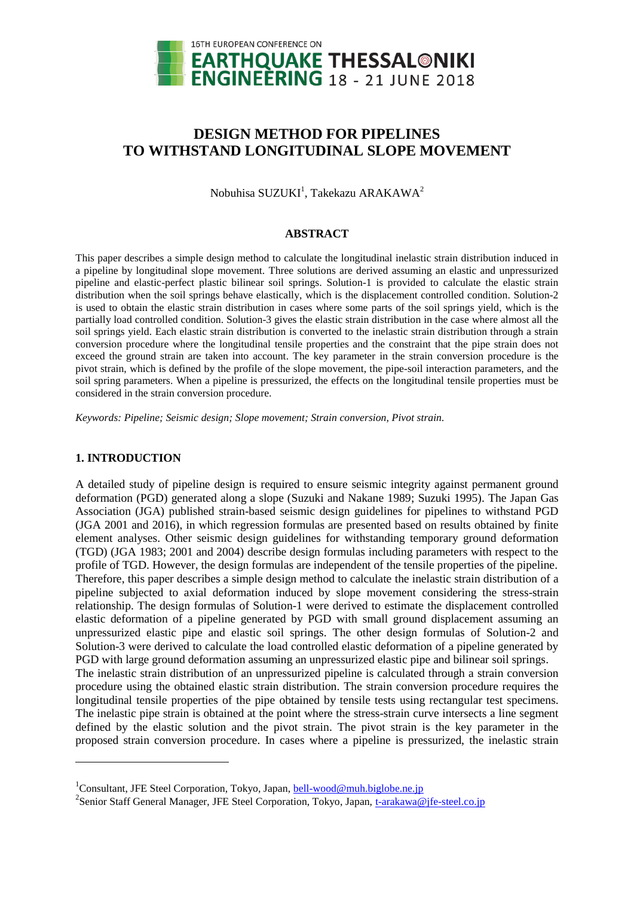

# **DESIGN METHOD FOR PIPELINES TO WITHSTAND LONGITUDINAL SLOPE MOVEMENT**

Nobuhisa SUZUKI $^1$ , Takekazu ARAKAWA $^2$ 

## **ABSTRACT**

This paper describes a simple design method to calculate the longitudinal inelastic strain distribution induced in a pipeline by longitudinal slope movement. Three solutions are derived assuming an elastic and unpressurized pipeline and elastic-perfect plastic bilinear soil springs. Solution-1 is provided to calculate the elastic strain distribution when the soil springs behave elastically, which is the displacement controlled condition. Solution-2 is used to obtain the elastic strain distribution in cases where some parts of the soil springs yield, which is the partially load controlled condition. Solution-3 gives the elastic strain distribution in the case where almost all the soil springs yield. Each elastic strain distribution is converted to the inelastic strain distribution through a strain conversion procedure where the longitudinal tensile properties and the constraint that the pipe strain does not exceed the ground strain are taken into account. The key parameter in the strain conversion procedure is the pivot strain, which is defined by the profile of the slope movement, the pipe-soil interaction parameters, and the soil spring parameters. When a pipeline is pressurized, the effects on the longitudinal tensile properties must be considered in the strain conversion procedure.

*Keywords: Pipeline; Seismic design; Slope movement; Strain conversion, Pivot strain.* 

# **1. INTRODUCTION**

l

A detailed study of pipeline design is required to ensure seismic integrity against permanent ground deformation (PGD) generated along a slope (Suzuki and Nakane 1989; Suzuki 1995). The Japan Gas Association (JGA) published strain-based seismic design guidelines for pipelines to withstand PGD (JGA 2001 and 2016), in which regression formulas are presented based on results obtained by finite element analyses. Other seismic design guidelines for withstanding temporary ground deformation (TGD) (JGA 1983; 2001 and 2004) describe design formulas including parameters with respect to the profile of TGD. However, the design formulas are independent of the tensile properties of the pipeline. Therefore, this paper describes a simple design method to calculate the inelastic strain distribution of a pipeline subjected to axial deformation induced by slope movement considering the stress-strain relationship. The design formulas of Solution-1 were derived to estimate the displacement controlled elastic deformation of a pipeline generated by PGD with small ground displacement assuming an unpressurized elastic pipe and elastic soil springs. The other design formulas of Solution-2 and Solution-3 were derived to calculate the load controlled elastic deformation of a pipeline generated by PGD with large ground deformation assuming an unpressurized elastic pipe and bilinear soil springs. The inelastic strain distribution of an unpressurized pipeline is calculated through a strain conversion procedure using the obtained elastic strain distribution. The strain conversion procedure requires the longitudinal tensile properties of the pipe obtained by tensile tests using rectangular test specimens. The inelastic pipe strain is obtained at the point where the stress-strain curve intersects a line segment defined by the elastic solution and the pivot strain. The pivot strain is the key parameter in the proposed strain conversion procedure. In cases where a pipeline is pressurized, the inelastic strain

<sup>&</sup>lt;sup>1</sup>Consultant, JFE Steel Corporation, Tokyo, Japan, **bell-wood@muh.biglobe.ne.jp** 

<sup>&</sup>lt;sup>2</sup>Senior Staff General Manager, JFE Steel Corporation, Tokyo, Japan, [t-arakawa@jfe-steel.co.jp](mailto:t-arakawa@jfe-steel.co.jp)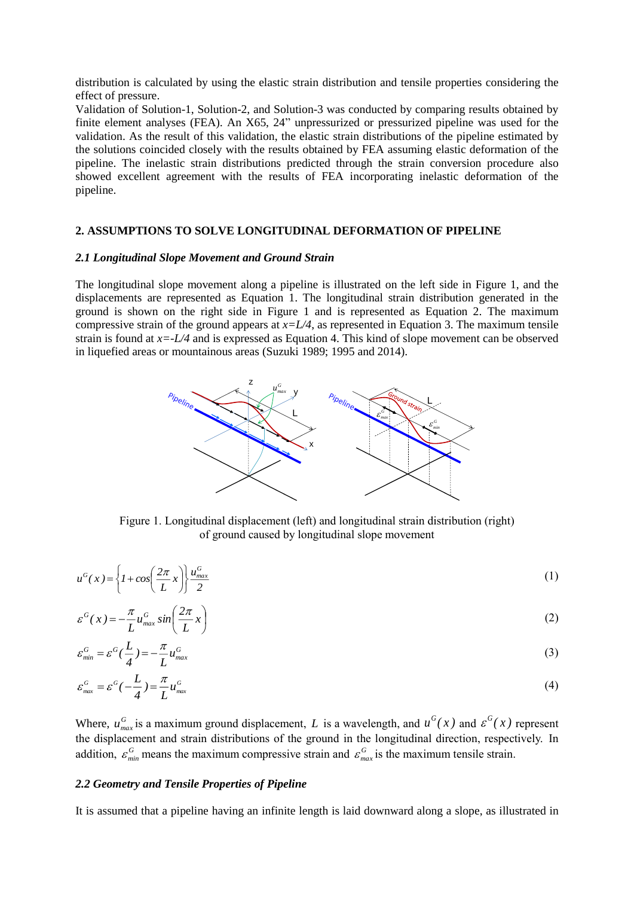distribution is calculated by using the elastic strain distribution and tensile properties considering the effect of pressure.

Validation of Solution-1, Solution-2, and Solution-3 was conducted by comparing results obtained by finite element analyses (FEA). An X65, 24" unpressurized or pressurized pipeline was used for the validation. As the result of this validation, the elastic strain distributions of the pipeline estimated by the solutions coincided closely with the results obtained by FEA assuming elastic deformation of the pipeline. The inelastic strain distributions predicted through the strain conversion procedure also showed excellent agreement with the results of FEA incorporating inelastic deformation of the pipeline.

## **2. ASSUMPTIONS TO SOLVE LONGITUDINAL DEFORMATION OF PIPELINE**

#### *2.1 Longitudinal Slope Movement and Ground Strain*

The longitudinal slope movement along a pipeline is illustrated on the left side in Figure 1, and the displacements are represented as Equation 1. The longitudinal strain distribution generated in the ground is shown on the right side in Figure 1 and is represented as Equation 2. The maximum compressive strain of the ground appears at  $x=L/4$ , as represented in Equation 3. The maximum tensile strain is found at *x=-L/4* and is expressed as Equation 4. This kind of slope movement can be observed in liquefied areas or mountainous areas (Suzuki 1989; 1995 and 2014).



Figure 1. Longitudinal displacement (left) and longitudinal strain distribution (right) of ground caused by longitudinal slope movement

$$
u^G(x) = \left\{ I + \cos\left(\frac{2\pi}{L}x\right) \right\} \frac{u_{\text{max}}^G}{2}
$$
 (1)

$$
\varepsilon^{G}(x) = -\frac{\pi}{L} u_{\max}^{G} \sin\left(\frac{2\pi}{L}x\right) \tag{2}
$$

$$
\varepsilon_{\min}^G = \varepsilon^G(\frac{L}{4}) = -\frac{\pi}{L}u_{\max}^G\tag{3}
$$

$$
\varepsilon_{\text{max}}^G = \varepsilon^G(-\frac{L}{4}) = \frac{\pi}{L} u_{\text{max}}^G \tag{4}
$$

Where,  $u_{max}^G$  is a maximum ground displacement, *L* is a wavelength, and  $u^G(x)$  and  $\varepsilon^G(x)$  represent the displacement and strain distributions of the ground in the longitudinal direction, respectively. In addition,  $\varepsilon_{min}^G$  means the maximum compressive strain and  $\varepsilon_{max}^G$  is the maximum tensile strain.

#### *2.2 Geometry and Tensile Properties of Pipeline*

It is assumed that a pipeline having an infinite length is laid downward along a slope, as illustrated in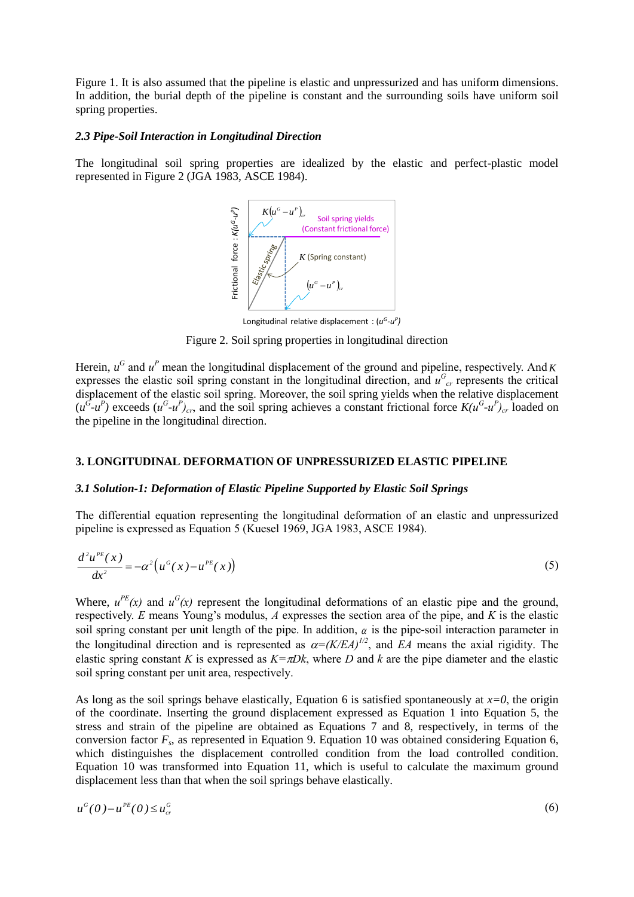Figure 1. It is also assumed that the pipeline is elastic and unpressurized and has uniform dimensions. In addition, the burial depth of the pipeline is constant and the surrounding soils have uniform soil spring properties.

# *2.3 Pipe-Soil Interaction in Longitudinal Direction*

The longitudinal soil spring properties are idealized by the elastic and perfect-plastic model represented in Figure 2 (JGA 1983, ASCE 1984).



Longitudinal relative displacement : (*<sup>u</sup> <sup>G</sup>-u P )*

Figure 2. Soil spring properties in longitudinal direction

Herein,  $u^G$  and  $u^P$  mean the longitudinal displacement of the ground and pipeline, respectively. And K expresses the elastic soil spring constant in the longitudinal direction, and  $u_{cr}^G$  represents the critical displacement of the elastic soil spring. Moreover, the soil spring yields when the relative displacement  $(u^G - u^P)$  exceeds  $(u^G - u^P)_{cr}$ , and the soil spring achieves a constant frictional force  $K(u^G - u^P)_{cr}$  loaded on the pipeline in the longitudinal direction.

# **3. LONGITUDINAL DEFORMATION OF UNPRESSURIZED ELASTIC PIPELINE**

# *3.1 Solution-1: Deformation of Elastic Pipeline Supported by Elastic Soil Springs*

The differential equation representing the longitudinal deformation of an elastic and unpressurized pipeline is expressed as Equation 5 (Kuesel 1969, JGA 1983, ASCE 1984).

$$
\frac{d^2u^{PE}(x)}{dx^2} = -\alpha^2\left(u^G(x) - u^{PE}(x)\right)
$$
\n(5)

Where,  $u^{PE}(x)$  and  $u^{G}(x)$  represent the longitudinal deformations of an elastic pipe and the ground, respectively. *E* means Young's modulus, *A* expresses the section area of the pipe, and *K* is the elastic soil spring constant per unit length of the pipe. In addition,  $\alpha$  is the pipe-soil interaction parameter in the longitudinal direction and is represented as  $\alpha = (K/EA)^{1/2}$ , and *EA* means the axial rigidity. The elastic spring constant *K* is expressed as  $K=\pi Dk$ , where *D* and *k* are the pipe diameter and the elastic soil spring constant per unit area, respectively.

As long as the soil springs behave elastically, Equation 6 is satisfied spontaneously at  $x=0$ , the origin of the coordinate. Inserting the ground displacement expressed as Equation 1 into Equation 5, the stress and strain of the pipeline are obtained as Equations 7 and 8, respectively, in terms of the conversion factor *F<sup>s</sup>* , as represented in Equation 9. Equation 10 was obtained considering Equation 6, which distinguishes the displacement controlled condition from the load controlled condition. Equation 10 was transformed into Equation 11, which is useful to calculate the maximum ground displacement less than that when the soil springs behave elastically.

$$
u^G(0) - u^{PE}(0) \le u_{cr}^G \tag{6}
$$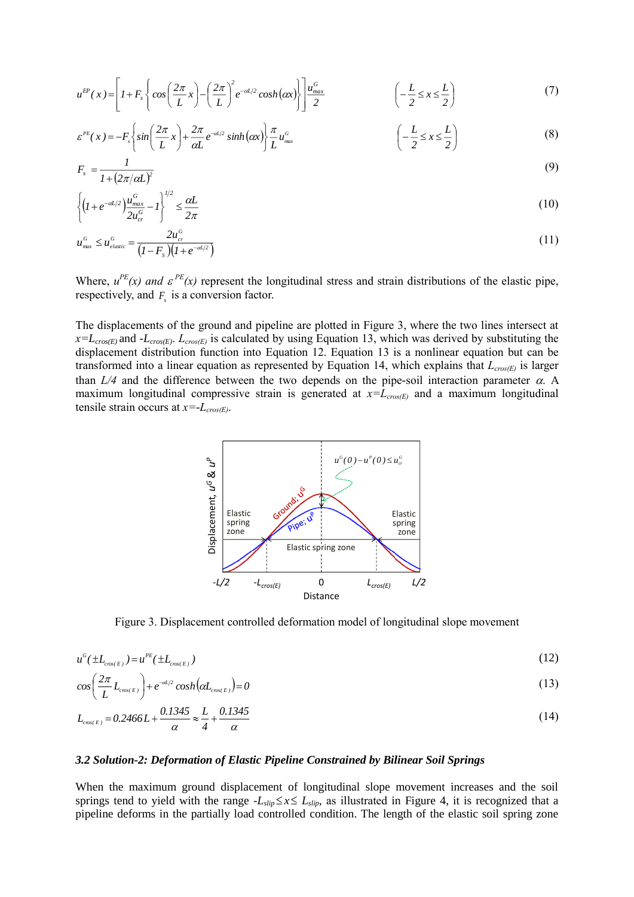$$
u^{EP}(x) = \left[1 + F_s \left\{ \cos\left(\frac{2\pi}{L}x\right) - \left(\frac{2\pi}{L}\right)^2 e^{-\alpha L/2} \cosh(\alpha x) \right\} \right] \frac{u_{\text{max}}^G}{2} \qquad \left(-\frac{L}{2} \le x \le \frac{L}{2}\right) \tag{7}
$$

$$
\varepsilon^{PE}(x) = -F_s \left\{ \sin\left(\frac{2\pi}{L}x\right) + \frac{2\pi}{\alpha L} e^{-\alpha L/2} \sinh(\alpha x) \right\} \frac{\pi}{L} u_{\text{max}}^G \qquad \qquad \left( -\frac{L}{2} \le x \le \frac{L}{2} \right) \tag{8}
$$

$$
F_s = \frac{1}{1 + (2\pi/\alpha L)^2} \tag{9}
$$

$$
\left\{ \left( I + e^{-\alpha L/2} \right) \frac{u_{\text{max}}^G}{2u_{\text{cr}}^G} - I \right\}^{1/2} \le \frac{\alpha L}{2\pi} \tag{10}
$$

$$
u_{\text{max}}^G \le u_{\text{elastic}}^G = \frac{2u_{\text{cr}}^G}{\left(I - F_s\right)\left(I + e^{-\alpha t/2}\right)}\tag{11}
$$

Where,  $u^{PE}(x)$  *and*  $\varepsilon^{PE}(x)$  represent the longitudinal stress and strain distributions of the elastic pipe, respectively, and  $F<sub>s</sub>$  is a conversion factor.

The displacements of the ground and pipeline are plotted in Figure 3, where the two lines intersect at  $x=L_{\text{cross}(E)}$  and *-L*<sub>cros(E)</sub>.  $L_{\text{cross}(E)}$  is calculated by using Equation 13, which was derived by substituting the displacement distribution function into Equation 12. Equation 13 is a nonlinear equation but can be transformed into a linear equation as represented by Equation 14, which explains that *Lcros(E)* is larger than  $L/4$  and the difference between the two depends on the pipe-soil interaction parameter  $\alpha$ . A maximum longitudinal compressive strain is generated at  $x=L_{cross(E)}$  and a maximum longitudinal tensile strain occurs at *x=-Lcros(E)*.



Figure 3. Displacement controlled deformation model of longitudinal slope movement

$$
u^G(\pm L_{\text{cross}(E)}) = u^{PE}(\pm L_{\text{cross}(E)})
$$
\n<sup>(12)</sup>

$$
cos\left(\frac{2\pi}{L}L_{\text{cros}(E)}\right) + e^{-\alpha L/2} cosh(\alpha L_{\text{cros}(E)}) = 0
$$
\n(13)

$$
L_{\text{cross}(E)} = 0.2466L + \frac{0.1345}{\alpha} \approx \frac{L}{4} + \frac{0.1345}{\alpha}
$$
\n(14)

#### *3.2 Solution-2: Deformation of Elastic Pipeline Constrained by Bilinear Soil Springs*

When the maximum ground displacement of longitudinal slope movement increases and the soil springs tend to yield with the range  $-L_{slip} \le x \le L_{slip}$ , as illustrated in Figure 4, it is recognized that a pipeline deforms in the partially load controlled condition. The length of the elastic soil spring zone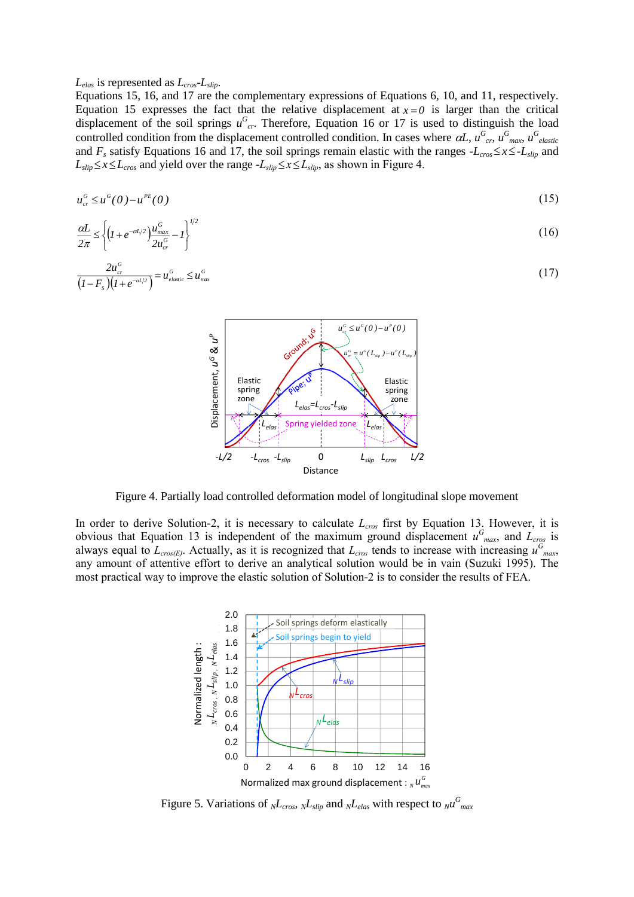*Lelas* is represented as *Lcros-Lslip*.

Equations 15, 16, and 17 are the complementary expressions of Equations 6, 10, and 11, respectively. Equation 15 expresses the fact that the relative displacement at  $x = 0$  is larger than the critical displacement of the soil springs  $u_{cr}^G$ . Therefore, Equation 16 or 17 is used to distinguish the load controlled condition from the displacement controlled condition. In cases where  $\alpha L$ ,  $u_{cr}^G$ ,  $u_{max}^G$ ,  $u_{elastic}^G$ and  $F_s$  satisfy Equations 16 and 17, the soil springs remain elastic with the ranges  $-L_{cross} \le x \le -L_{slip}$  and  $L_{slip} \leq x \leq L_{cross}$  and yield over the range  $-L_{slip} \leq x \leq L_{slip}$ , as shown in Figure 4.

$$
u_{cr}^G \leq u^G(0) - u^{PE}(0) \tag{15}
$$

$$
\frac{\alpha L}{2\pi} \le \left\{ \left( 1 + e^{-\alpha L/2} \right) \frac{u_{\text{max}}^G}{2u_{\text{cr}}^G} - 1 \right\}^{1/2} \tag{16}
$$

$$
\frac{2u_{cr}^G}{\left(I - F_s\right)\left(I + e^{-\alpha I/2}\right)} = u_{elastic}^G \le u_{max}^G \tag{17}
$$



Figure 4. Partially load controlled deformation model of longitudinal slope movement

In order to derive Solution-2, it is necessary to calculate *Lcros* first by Equation 13. However, it is obvious that Equation 13 is independent of the maximum ground displacement  $u_{\text{max}}^G$ , and  $L_{\text{cross}}$  is always equal to  $L_{\text{cross}(E)}$ . Actually, as it is recognized that  $L_{\text{cross}}$  tends to increase with increasing  $u_{\text{max}}^G$ any amount of attentive effort to derive an analytical solution would be in vain (Suzuki 1995). The most practical way to improve the elastic solution of Solution-2 is to consider the results of FEA.



Figure 5. Variations of  $_{N}L_{cross}$ ,  $_{N}L_{slip}$  and  $_{N}L_{elas}$  with respect to  $_{N}u_{max}^{G}$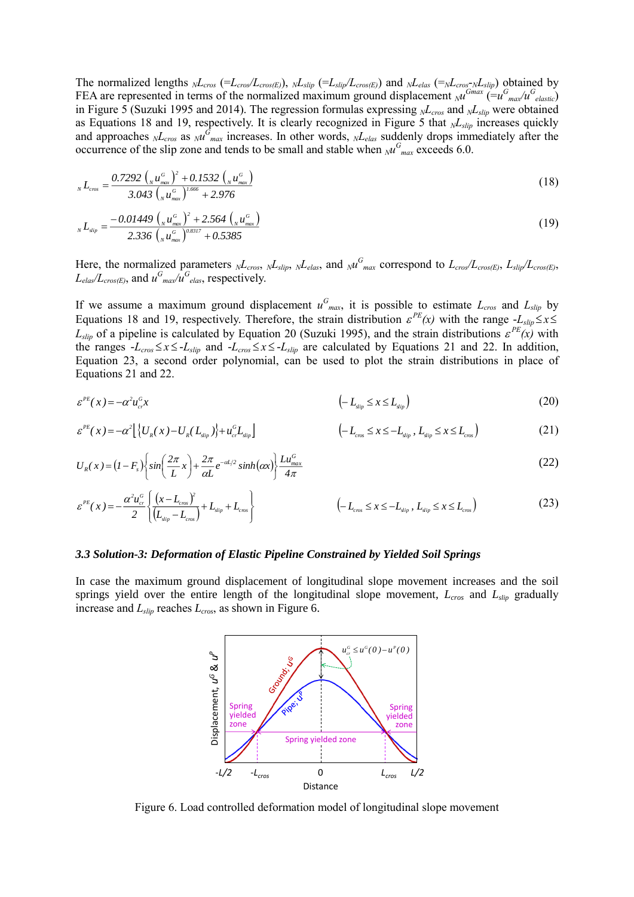The normalized lengths  $_{N}L_{cross}$  (= $L_{cross}(E)$ ),  $_{N}L_{slip}$  (= $L_{slip}/L_{cross}(E)$ ) and  $_{N}L_{elas}$  (= $_{N}L_{cross}N_{slip}$ ) obtained by FEA are represented in terms of the normalized maximum ground displacement  $_M^{Gmax}$  (= $u_{\max}^{G} / u_{\text{elastic}}^{G}$ ) in Figure 5 (Suzuki 1995 and 2014). The regression formulas expressing *NLcros* and *NLslip* were obtained as Equations 18 and 19, respectively. It is clearly recognized in Figure 5 that *NLslip* increases quickly and approaches  $_{N}L_{cross}$  as  $_{N}u_{max}$  increases. In other words,  $_{N}L_{elas}$  suddenly drops immediately after the occurrence of the slip zone and tends to be small and stable when  $_{N}u_{max}^{G}$  exceeds 6.0.

$$
{}_{N}L_{\text{cros}} = \frac{0.7292 \left( {}_{N} u_{\text{max}}^{\text{G}} \right)^{2} + 0.1532 \left( {}_{N} u_{\text{max}}^{\text{G}} \right)}{3.043 \left( {}_{N} u_{\text{max}}^{\text{G}} \right)^{1.666} + 2.976}
$$
(18)

$$
_{N}L_{\text{slip}} = \frac{-0.01449 \left( _{N} u_{\text{max}}^{G} \right)^{2} + 2.564 \left( _{N} u_{\text{max}}^{G} \right)}{2.336 \left( _{N} u_{\text{max}}^{G} \right)^{0.8317} + 0.5385}
$$
(19)

Here, the normalized parameters  $_{N}L_{cross}$ ,  $_{N}L_{slip}$ ,  $_{N}L_{elas}$ , and  $_{N}u_{max}^G$  correspond to  $L_{cross}(E)$ ,  $L_{slip}/L_{cross(E)}$ ,  $L_{elas}/L_{cross(E)}$ , and  $u_{max}^G/u_{elas}^G$ , respectively.

If we assume a maximum ground displacement  $u_{max}^G$ , it is possible to estimate  $L_{cross}$  and  $L_{slip}$  by Equations 18 and 19, respectively. Therefore, the strain distribution  $\varepsilon^{PE}(x)$  with the range  $-L_{slip} \le x \le$  $L_{slip}$  of a pipeline is calculated by Equation 20 (Suzuki 1995), and the strain distributions  $\varepsilon^{PE}(x)$  with the ranges  $-L_{\text{cros}} \le x \le -L_{\text{slip}}$  and  $-L_{\text{cros}} \le x \le -L_{\text{slip}}$  are calculated by Equations 21 and 22. In addition, Equation 23, a second order polynomial, can be used to plot the strain distributions in place of Equations 21 and 22.

$$
\varepsilon^{PE}(x) = -\alpha^2 u_{cr}^G x \tag{20}
$$

$$
\varepsilon^{PE}(x) = -\alpha^2 \Big[ \left\{ U_R(x) - U_R(L_{\rm dip}) \right\} + u_{cr}^G L_{\rm dip} \Big] \qquad \qquad \left( -L_{\rm rms} \le x \le -L_{\rm dip}, L_{\rm dip} \le x \le L_{\rm rms} \right) \tag{21}
$$

$$
U_R(x) = (I - F_s) \left\{ \sin\left(\frac{2\pi}{L}x\right) + \frac{2\pi}{\alpha L} e^{-\alpha L/2} \sinh(\alpha x) \right\} \frac{L u_{\text{max}}^G}{4\pi} \tag{22}
$$

$$
\varepsilon^{PE}(x) = -\frac{\alpha^2 u_{cr}^G}{2} \left\{ \frac{(x - L_{\text{cros}})^2}{(L_{\text{slip}} - L_{\text{cros}})} + L_{\text{slip}} + L_{\text{cros}} \right\} \qquad \qquad (-L_{\text{cros}} \le x \le -L_{\text{slip}}, L_{\text{slip}} \le x \le L_{\text{cros}}) \qquad (23)
$$

#### *3.3 Solution-3: Deformation of Elastic Pipeline Constrained by Yielded Soil Springs*

In case the maximum ground displacement of longitudinal slope movement increases and the soil springs yield over the entire length of the longitudinal slope movement, *Lcros* and *Lslip* gradually increase and *Lslip* reaches *Lcros*, as shown in Figure 6.



Figure 6. Load controlled deformation model of longitudinal slope movement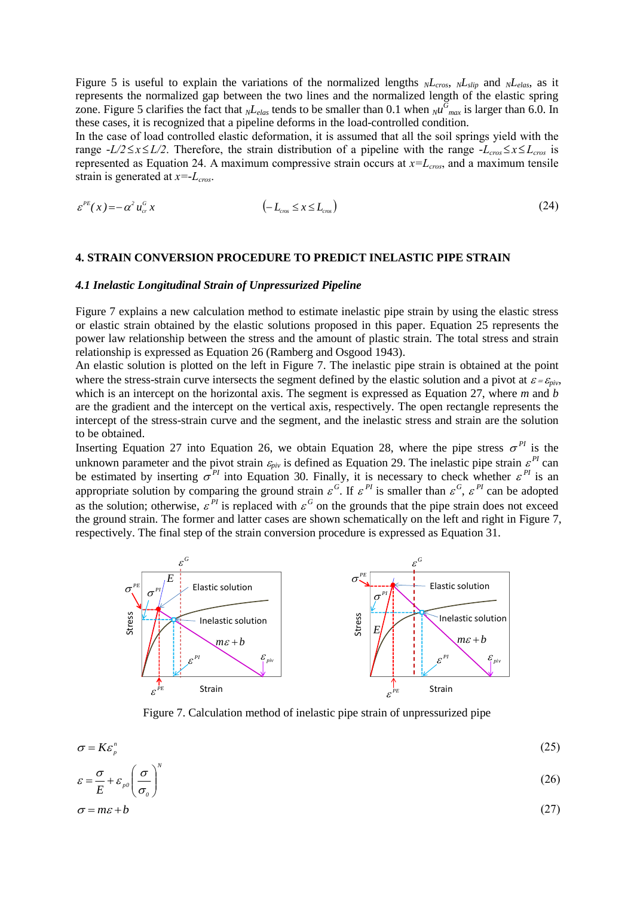Figure 5 is useful to explain the variations of the normalized lengths  $N_{cross}$ ,  $N_{slip}$  and  $N_{relas}$ , as it represents the normalized gap between the two lines and the normalized length of the elastic spring zone. Figure 5 clarifies the fact that  $_{N}L_{elas}$  tends to be smaller than 0.1 when  $_{N}u_{max}^G$  is larger than 6.0. In these cases, it is recognized that a pipeline deforms in the load-controlled condition.

In the case of load controlled elastic deformation, it is assumed that all the soil springs yield with the range  $-L/2 \le x \le L/2$ . Therefore, the strain distribution of a pipeline with the range  $-L_{cross} \le x \le L_{cross}$  is represented as Equation 24. A maximum compressive strain occurs at *x=Lcros*, and a maximum tensile strain is generated at *x=-Lcros*.

$$
\varepsilon^{\mu}(\mathbf{x}) = -\alpha^2 u_{cr}^G \mathbf{x} \tag{24}
$$

### **4. STRAIN CONVERSION PROCEDURE TO PREDICT INELASTIC PIPE STRAIN**

#### *4.1 Inelastic Longitudinal Strain of Unpressurized Pipeline*

Figure 7 explains a new calculation method to estimate inelastic pipe strain by using the elastic stress or elastic strain obtained by the elastic solutions proposed in this paper. Equation 25 represents the power law relationship between the stress and the amount of plastic strain. The total stress and strain relationship is expressed as Equation 26 (Ramberg and Osgood 1943).

An elastic solution is plotted on the left in Figure 7. The inelastic pipe strain is obtained at the point where the stress-strain curve intersects the segment defined by the elastic solution and a pivot at  $\varepsilon = \varepsilon_{\text{div}}$ , which is an intercept on the horizontal axis. The segment is expressed as Equation 27, where *m* and *b* are the gradient and the intercept on the vertical axis, respectively. The open rectangle represents the intercept of the stress-strain curve and the segment, and the inelastic stress and strain are the solution to be obtained.

Inserting Equation 27 into Equation 26, we obtain Equation 28, where the pipe stress  $\sigma^{PI}$  is the unknown parameter and the pivot strain  $\varepsilon_{piv}$  is defined as Equation 29. The inelastic pipe strain  $\varepsilon^{PI}$  can be estimated by inserting  $\sigma^{PI}$  into Equation 30. Finally, it is necessary to check whether  $\varepsilon^{PI}$  is an appropriate solution by comparing the ground strain  $\varepsilon^G$ . If  $\varepsilon^{PI}$  is smaller than  $\varepsilon^G$ ,  $\varepsilon^{PI}$  can be adopted as the solution; otherwise,  $\varepsilon^{PI}$  is replaced with  $\varepsilon^G$  on the grounds that the pipe strain does not exceed the ground strain. The former and latter cases are shown schematically on the left and right in Figure 7, respectively. The final step of the strain conversion procedure is expressed as Equation 31.



Figure 7. Calculation method of inelastic pipe strain of unpressurized pipe

$$
\sigma = K \varepsilon_p^n \tag{25}
$$

$$
\varepsilon = \frac{\sigma}{F} + \varepsilon_{\rho 0} \left( \frac{\sigma}{\sigma} \right)^N \tag{26}
$$

$$
E^{\mu\nu}(\sigma_{\theta})
$$
  
\n
$$
\sigma = m\varepsilon + b \tag{27}
$$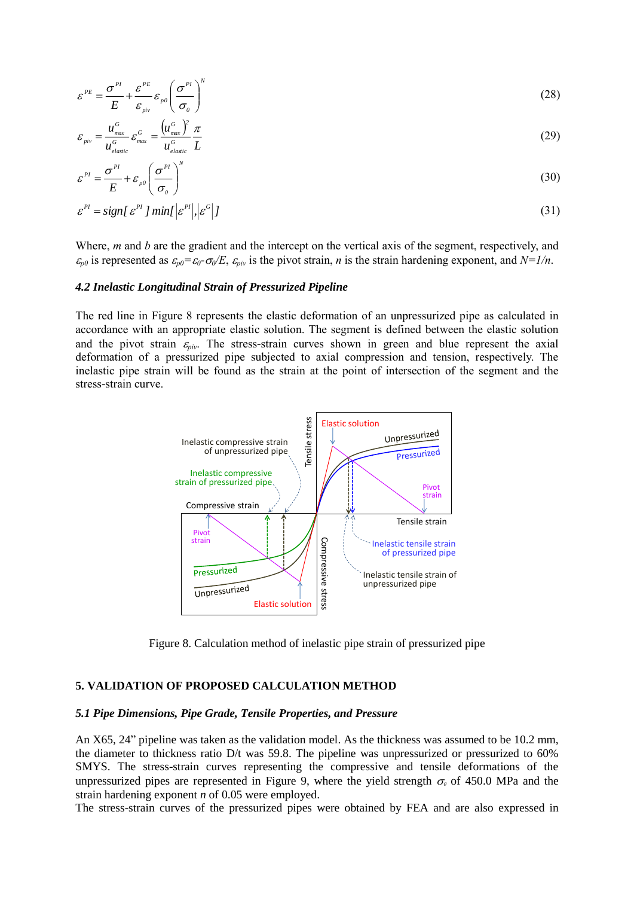$$
\varepsilon^{PE} = \frac{\sigma^{PI}}{E} + \frac{\varepsilon^{PE}}{\varepsilon_{piv}} \varepsilon_{\rho 0} \left( \frac{\sigma^{PI}}{\sigma_0} \right)^N \tag{28}
$$

$$
\varepsilon_{\scriptscriptstyle \pi\scriptscriptstyle \rm inv} = \frac{u_{\scriptscriptstyle \rm max}^{\scriptscriptstyle G}}{u_{\scriptscriptstyle \rm elastic}^{\scriptscriptstyle G}} \varepsilon_{\scriptscriptstyle \rm max}^{\scriptscriptstyle G} = \frac{\left(u_{\scriptscriptstyle \rm max}^{\scriptscriptstyle G}\right)^2}{u_{\scriptscriptstyle \rm elastic}^{\scriptscriptstyle G}} \frac{\pi}{L}
$$
\n(29)

$$
\varepsilon^{PI} = \frac{\sigma^{PI}}{E} + \varepsilon_{p0} \left( \frac{\sigma^{PI}}{\sigma_0} \right)^N \tag{30}
$$

$$
\varepsilon^{p} = sign[\varepsilon^{p} ] min[\varepsilon^{p} ], |\varepsilon^{c} |] \tag{31}
$$

Where, *m* and *b* are the gradient and the intercept on the vertical axis of the segment, respectively, and  $\varepsilon_{p0}$  is represented as  $\varepsilon_{p0} = \varepsilon_0 \cdot \sigma_0 / E$ ,  $\varepsilon_{piv}$  is the pivot strain, *n* is the strain hardening exponent, and  $N = 1/n$ .

# *4.2 Inelastic Longitudinal Strain of Pressurized Pipeline*

The red line in Figure 8 represents the elastic deformation of an unpressurized pipe as calculated in accordance with an appropriate elastic solution. The segment is defined between the elastic solution and the pivot strain  $\varepsilon_{piv}$ . The stress-strain curves shown in green and blue represent the axial deformation of a pressurized pipe subjected to axial compression and tension, respectively. The inelastic pipe strain will be found as the strain at the point of intersection of the segment and the stress-strain curve.



Figure 8. Calculation method of inelastic pipe strain of pressurized pipe

## **5. VALIDATION OF PROPOSED CALCULATION METHOD**

#### *5.1 Pipe Dimensions, Pipe Grade, Tensile Properties, and Pressure*

An X65, 24" pipeline was taken as the validation model. As the thickness was assumed to be 10.2 mm, the diameter to thickness ratio D/t was 59.8. The pipeline was unpressurized or pressurized to 60% SMYS. The stress-strain curves representing the compressive and tensile deformations of the unpressurized pipes are represented in Figure 9, where the yield strength  $\sigma_0$  of 450.0 MPa and the strain hardening exponent *n* of 0.05 were employed.

The stress-strain curves of the pressurized pipes were obtained by FEA and are also expressed in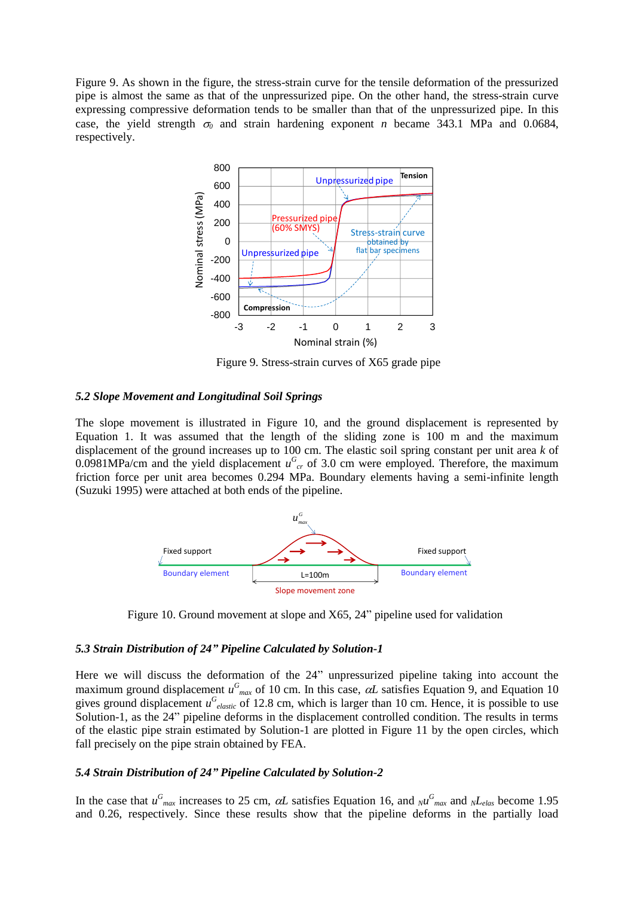Figure 9. As shown in the figure, the stress-strain curve for the tensile deformation of the pressurized pipe is almost the same as that of the unpressurized pipe. On the other hand, the stress-strain curve expressing compressive deformation tends to be smaller than that of the unpressurized pipe. In this case, the yield strength  $\sigma_0$  and strain hardening exponent *n* became 343.1 MPa and 0.0684, respectively.



Figure 9. Stress-strain curves of X65 grade pipe

## *5.2 Slope Movement and Longitudinal Soil Springs*

The slope movement is illustrated in Figure 10, and the ground displacement is represented by Equation 1. It was assumed that the length of the sliding zone is 100 m and the maximum displacement of the ground increases up to 100 cm. The elastic soil spring constant per unit area *k* of 0.0981MPa/cm and the yield displacement  $u_{cr}^G$  of 3.0 cm were employed. Therefore, the maximum friction force per unit area becomes 0.294 MPa. Boundary elements having a semi-infinite length (Suzuki 1995) were attached at both ends of the pipeline.



Figure 10. Ground movement at slope and X65, 24" pipeline used for validation

## *5.3 Strain Distribution of 24" Pipeline Calculated by Solution-1*

Here we will discuss the deformation of the 24" unpressurized pipeline taking into account the maximum ground displacement  $u_{max}^G$  of 10 cm. In this case,  $\alpha L$  satisfies Equation 9, and Equation 10 gives ground displacement  $u_{\text{elastic}}^G$  of 12.8 cm, which is larger than 10 cm. Hence, it is possible to use Solution-1, as the 24" pipeline deforms in the displacement controlled condition. The results in terms of the elastic pipe strain estimated by Solution-1 are plotted in Figure 11 by the open circles, which fall precisely on the pipe strain obtained by FEA.

## *5.4 Strain Distribution of 24" Pipeline Calculated by Solution-2*

In the case that  $u_{max}^G$  increases to 25 cm,  $\alpha L$  satisfies Equation 16, and  $_{N}u_{max}^G$  and  $_{N}L_{elas}$  become 1.95 and 0.26, respectively. Since these results show that the pipeline deforms in the partially load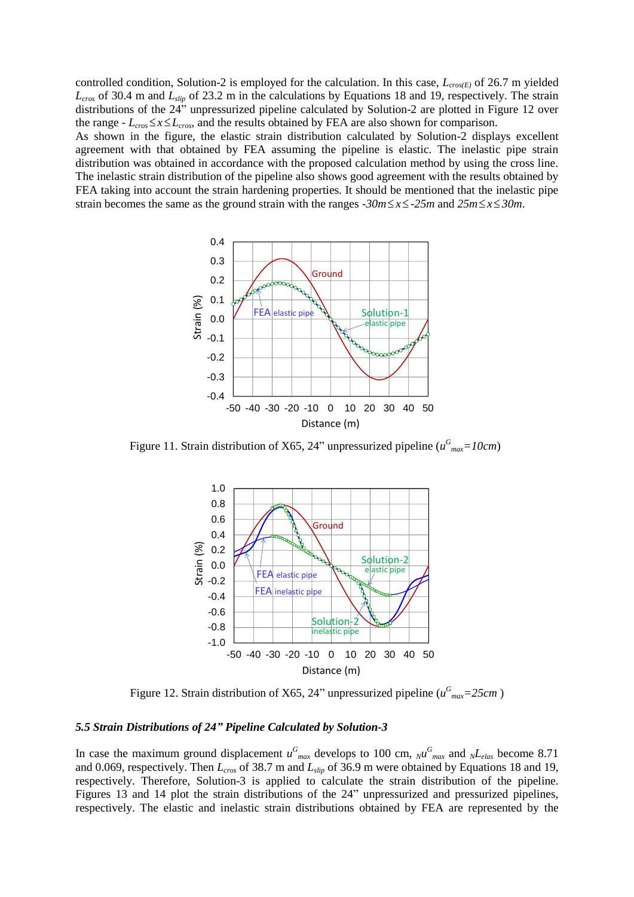controlled condition, Solution-2 is employed for the calculation. In this case, *Lcros(E)* of 26.7 m yielded *Lcros* of 30.4 m and *Lslip* of 23.2 m in the calculations by Equations 18 and 19, respectively. The strain distributions of the 24" unpressurized pipeline calculated by Solution-2 are plotted in Figure 12 over the range *-*  $L_{\text{cros}} \le x \le L_{\text{cros}}$ , and the results obtained by FEA are also shown for comparison. As shown in the figure, the elastic strain distribution calculated by Solution-2 displays excellent agreement with that obtained by FEA assuming the pipeline is elastic. The inelastic pipe strain distribution was obtained in accordance with the proposed calculation method by using the cross line. The inelastic strain distribution of the pipeline also shows good agreement with the results obtained by FEA taking into account the strain hardening properties. It should be mentioned that the inelastic pipe strain becomes the same as the ground strain with the ranges  $-30m \le x \le -25m$  and  $25m \le x \le 30m$ .



Figure 11. Strain distribution of X65, 24" unpressurized pipeline  $(u_{max}^G=10cm)$  $-10$  and



Figure 12. Strain distribution of X65, 24" unpressurized pipeline ( $u_{max}^G$ =25cm)

## *5.5 Strain Distributions of 24" Pipeline Calculated by Solution-3*

In case the maximum ground displacement  $u_{max}^G$  develops to 100 cm,  $N u_{max}^G$  and  $N L_{elas}$  become 8.71 and 0.069, respectively. Then *Lcros* of 38.7 m and *Lslip* of 36.9 m were obtained by Equations 18 and 19, respectively. Therefore, Solution-3 is applied to calculate the strain distribution of the pipeline. Figures 13 and 14 plot the strain distributions of the 24" unpressurized and pressurized pipelines, respectively. The elastic and inelastic strain distributions obtained by FEA are represented by the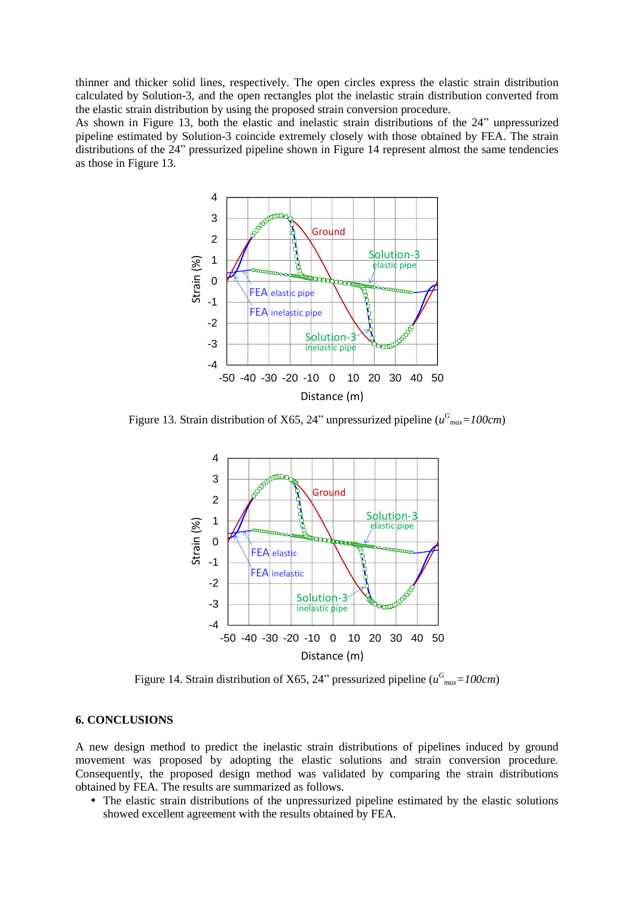thinner and thicker solid lines, respectively. The open circles express the elastic strain distribution calculated by Solution-3, and the open rectangles plot the inelastic strain distribution converted from the elastic strain distribution by using the proposed strain conversion procedure.

As shown in Figure 13, both the elastic and inelastic strain distributions of the 24" unpressurized pipeline estimated by Solution-3 coincide extremely closely with those obtained by FEA. The strain distributions of the 24" pressurized pipeline shown in Figure 14 represent almost the same tendencies as those in Figure 13.  $\mathbf{1}$ 



Figure 13. Strain distribution of X65, 24" unpressurized pipeline ( $u_{max}^G$ =100cm)  $\begin{array}{cccccccc}\n\end{array}$ 



Figure 14. Strain distribution of X65, 24" pressurized pipeline ( $u_{max}^G$ =100cm)

# **6. CONCLUSIONS**

A new design method to predict the inelastic strain distributions of pipelines induced by ground movement was proposed by adopting the elastic solutions and strain conversion procedure. Consequently, the proposed design method was validated by comparing the strain distributions obtained by FEA. The results are summarized as follows.

 The elastic strain distributions of the unpressurized pipeline estimated by the elastic solutions showed excellent agreement with the results obtained by FEA.